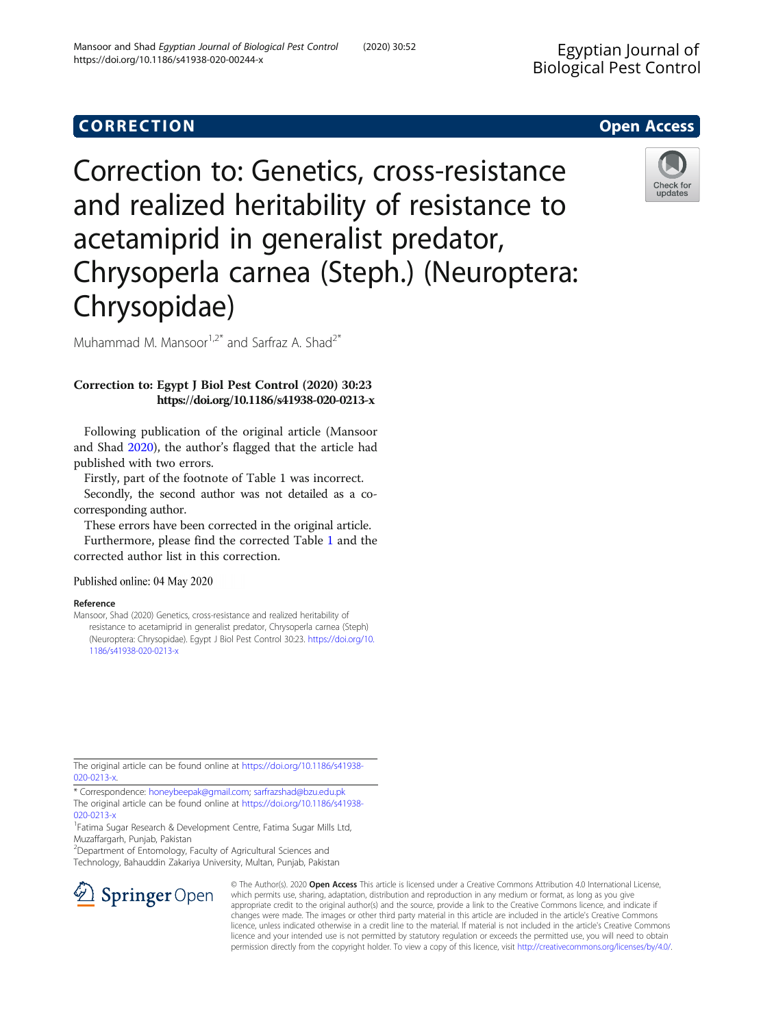## **CORRECTION CORRECTION**

Correction to: Genetics, cross-resistance and realized heritability of resistance to acetamiprid in generalist predator, Chrysoperla carnea (Steph.) (Neuroptera: Chrysopidae)

Muhammad M. Mansoor<sup>1,2\*</sup> and Sarfraz A. Shad<sup>2\*</sup>

## Correction to: Egypt J Biol Pest Control (2020) 30:23 https://doi.org/10.1186/s41938-020-0213-x

Following publication of the original article (Mansoor and Shad 2020), the author's flagged that the article had published with two errors.

Firstly, part of the footnote of Table 1 was incorrect.

Secondly, the second author was not detailed as a cocorresponding author.

These errors have been corrected in the original article.

Furthermore, please find the corrected Table [1](#page-1-0) and the corrected author list in this correction.

Published online: 04 May 2020

## Reference

Mansoor, Shad (2020) Genetics, cross-resistance and realized heritability of resistance to acetamiprid in generalist predator, Chrysoperla carnea (Steph) (Neuroptera: Chrysopidae). Egypt J Biol Pest Control 30:23. [https://doi.org/10.](https://doi.org/10.1186/s41938-020-0213-x) [1186/s41938-020-0213-x](https://doi.org/10.1186/s41938-020-0213-x)

The original article can be found online at [https://doi.org/10.1186/s41938-](https://doi.org/10.1186/s41938-020-0213-x) [020-0213-x](https://doi.org/10.1186/s41938-020-0213-x).

\* Correspondence: [honeybeepak@gmail.com;](mailto:honeybeepak@gmail.com) [sarfrazshad@bzu.edu.pk](mailto:sarfrazshad@bzu.edu.pk) The original article can be found online at [https://doi.org/10.1186/s41938-](https://doi.org/10.1186/s41938-020-0213-x) [020-0213-x](https://doi.org/10.1186/s41938-020-0213-x)

<sup>1</sup>Fatima Sugar Research & Development Centre, Fatima Sugar Mills Ltd, Muzaffargarh, Punjab, Pakistan

<sup>2</sup>Department of Entomology, Faculty of Agricultural Sciences and

 $\mathscr{L}$  Springer Open

Technology, Bahauddin Zakariya University, Multan, Punjab, Pakistan

© The Author(s). 2020 Open Access This article is licensed under a Creative Commons Attribution 4.0 International License, which permits use, sharing, adaptation, distribution and reproduction in any medium or format, as long as you give appropriate credit to the original author(s) and the source, provide a link to the Creative Commons licence, and indicate if changes were made. The images or other third party material in this article are included in the article's Creative Commons licence, unless indicated otherwise in a credit line to the material. If material is not included in the article's Creative Commons licence and your intended use is not permitted by statutory regulation or exceeds the permitted use, you will need to obtain permission directly from the copyright holder. To view a copy of this licence, visit <http://creativecommons.org/licenses/by/4.0/>.